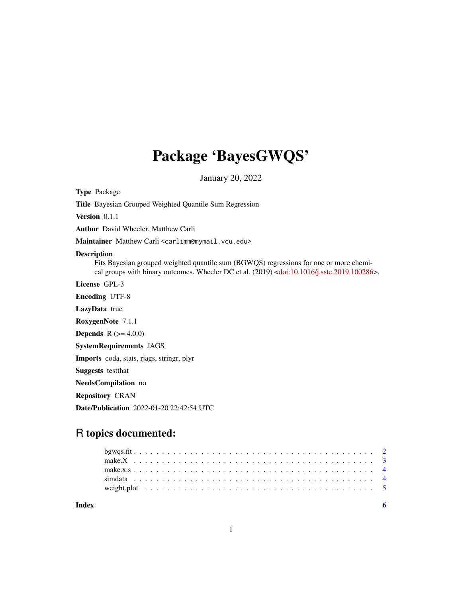## Package 'BayesGWQS'

January 20, 2022

Type Package

Title Bayesian Grouped Weighted Quantile Sum Regression

Version 0.1.1

Author David Wheeler, Matthew Carli

Maintainer Matthew Carli <carlimm@mymail.vcu.edu>

#### Description

Fits Bayesian grouped weighted quantile sum (BGWQS) regressions for one or more chemical groups with binary outcomes. Wheeler DC et al. (2019) [<doi:10.1016/j.sste.2019.100286>](https://doi.org/10.1016/j.sste.2019.100286).

License GPL-3

Encoding UTF-8

LazyData true

RoxygenNote 7.1.1

**Depends** R  $(>= 4.0.0)$ 

SystemRequirements JAGS

Imports coda, stats, rjags, stringr, plyr

Suggests testthat

NeedsCompilation no

Repository CRAN

Date/Publication 2022-01-20 22:42:54 UTC

### R topics documented:

| Index |  |  |  |  |  |  |  |  |  |  |  |  |  |  |  |  |  |  |  |  |  |
|-------|--|--|--|--|--|--|--|--|--|--|--|--|--|--|--|--|--|--|--|--|--|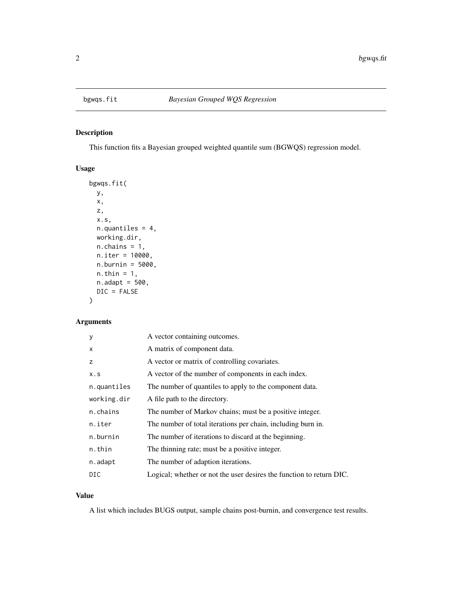<span id="page-1-0"></span>

#### Description

This function fits a Bayesian grouped weighted quantile sum (BGWQS) regression model.

#### Usage

```
bgwqs.fit(
 y,
 x,
 z,
 x.s,
 n.quantiles = 4,
 working.dir,
 n.chains = 1,
 n.iter = 10000,
 n.burnin = 5000,
 n.thin = 1,
 n.addapt = 500,DIC = FALSE
)
```
#### Arguments

| y           | A vector containing outcomes.                                        |
|-------------|----------------------------------------------------------------------|
| X           | A matrix of component data.                                          |
| z           | A vector or matrix of controlling covariates.                        |
| X.S         | A vector of the number of components in each index.                  |
| n.quantiles | The number of quantiles to apply to the component data.              |
| working.dir | A file path to the directory.                                        |
| n.chains    | The number of Markov chains; must be a positive integer.             |
| n.iter      | The number of total iterations per chain, including burn in.         |
| n.burnin    | The number of iterations to discard at the beginning.                |
| n.thin      | The thinning rate; must be a positive integer.                       |
| n.adapt     | The number of adaption iterations.                                   |
| DIC         | Logical; whether or not the user desires the function to return DIC. |

#### Value

A list which includes BUGS output, sample chains post-burnin, and convergence test results.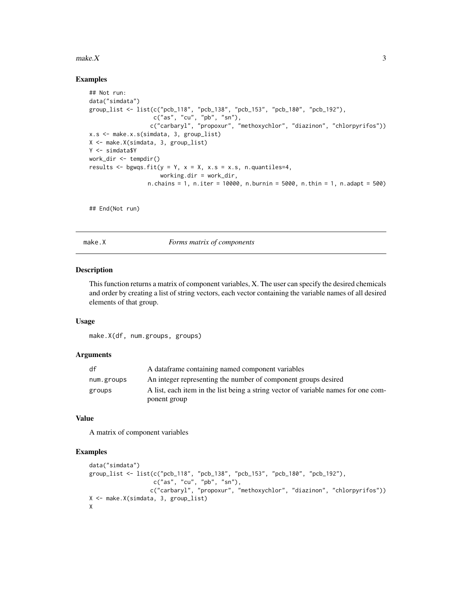#### <span id="page-2-0"></span> $make. X$  3

#### Examples

```
## Not run:
data("simdata")
group_list <- list(c("pcb_118", "pcb_138", "pcb_153", "pcb_180", "pcb_192"),
                   c("as", "cu", "pb", "sn"),
                  c("carbaryl", "propoxur", "methoxychlor", "diazinon", "chlorpyrifos"))
x.s <- make.x.s(simdata, 3, group_list)
X <- make.X(simdata, 3, group_list)
Y <- simdata$Y
work_dir <- tempdir()
results \leq bgwqs.fit(y = Y, x = X, x.s = x.s, n.quantiles=4,
                     working.dir = work_dir,
                 n.chains = 1, n.iter = 10000, n.burnin = 5000, n.thin = 1, n.adapt = 500)
```
## End(Not run)

make.X *Forms matrix of components*

#### Description

This function returns a matrix of component variables, X. The user can specify the desired chemicals and order by creating a list of string vectors, each vector containing the variable names of all desired elements of that group.

#### Usage

make.X(df, num.groups, groups)

#### Arguments

| df         | A data frame containing named component variables                                  |
|------------|------------------------------------------------------------------------------------|
| num.groups | An integer representing the number of component groups desired                     |
| groups     | A list, each item in the list being a string vector of variable names for one com- |
|            | ponent group                                                                       |

#### Value

A matrix of component variables

#### Examples

```
data("simdata")
group_list <- list(c("pcb_118", "pcb_138", "pcb_153", "pcb_180", "pcb_192"),
                   c("as", "cu", "pb", "sn"),
                  c("carbaryl", "propoxur", "methoxychlor", "diazinon", "chlorpyrifos"))
X <- make.X(simdata, 3, group_list)
X
```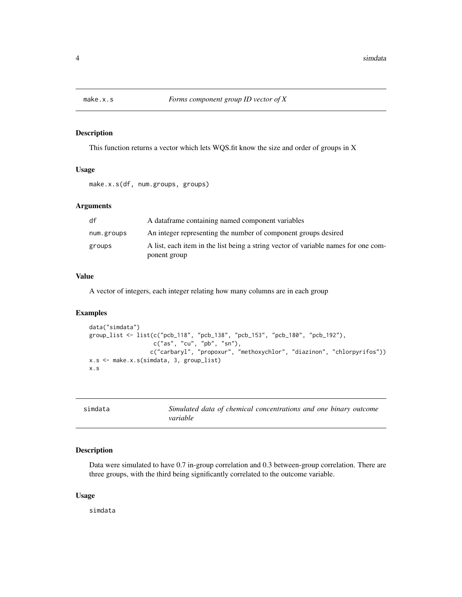<span id="page-3-0"></span>

#### Description

This function returns a vector which lets WQS.fit know the size and order of groups in X

#### Usage

```
make.x.s(df, num.groups, groups)
```
#### Arguments

| df         | A dataframe containing named component variables                                                   |
|------------|----------------------------------------------------------------------------------------------------|
| num.groups | An integer representing the number of component groups desired                                     |
| groups     | A list, each item in the list being a string vector of variable names for one com-<br>ponent group |

#### Value

A vector of integers, each integer relating how many columns are in each group

#### Examples

```
data("simdata")
group_list <- list(c("pcb_118", "pcb_138", "pcb_153", "pcb_180", "pcb_192"),
                   c("as", "cu", "pb", "sn"),
                  c("carbaryl", "propoxur", "methoxychlor", "diazinon", "chlorpyrifos"))
x.s <- make.x.s(simdata, 3, group_list)
x.s
```

| simdata | Simulated data of chemical concentrations and one binary outcome |  |
|---------|------------------------------------------------------------------|--|
|         | variable                                                         |  |

#### Description

Data were simulated to have 0.7 in-group correlation and 0.3 between-group correlation. There are three groups, with the third being significantly correlated to the outcome variable.

#### Usage

simdata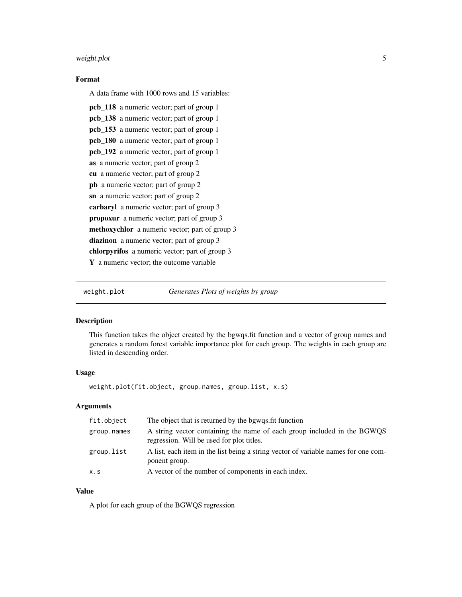#### <span id="page-4-0"></span>weight.plot 5

#### Format

A data frame with 1000 rows and 15 variables:

```
pcb_118 a numeric vector; part of group 1
pcb_138 a numeric vector; part of group 1
pcb_153 a numeric vector; part of group 1
pcb_180 a numeric vector; part of group 1
pcb_192 a numeric vector; part of group 1
as a numeric vector; part of group 2
cu a numeric vector; part of group 2
pb a numeric vector; part of group 2
sn a numeric vector; part of group 2
carbaryl a numeric vector; part of group 3
propoxur a numeric vector; part of group 3
methoxychlor a numeric vector; part of group 3
diazinon a numeric vector; part of group 3
chlorpyrifos a numeric vector; part of group 3
Y a numeric vector; the outcome variable
```
weight.plot *Generates Plots of weights by group*

#### Description

This function takes the object created by the bgwqs.fit function and a vector of group names and generates a random forest variable importance plot for each group. The weights in each group are listed in descending order.

#### Usage

weight.plot(fit.object, group.names, group.list, x.s)

#### Arguments

| fit.object  | The object that is returned by the bgwqs.fit function                                                                |
|-------------|----------------------------------------------------------------------------------------------------------------------|
| group.names | A string vector containing the name of each group included in the BGWQS<br>regression. Will be used for plot titles. |
| group.list  | A list, each item in the list being a string vector of variable names for one com-<br>ponent group.                  |
| X.S         | A vector of the number of components in each index.                                                                  |

#### Value

A plot for each group of the BGWQS regression